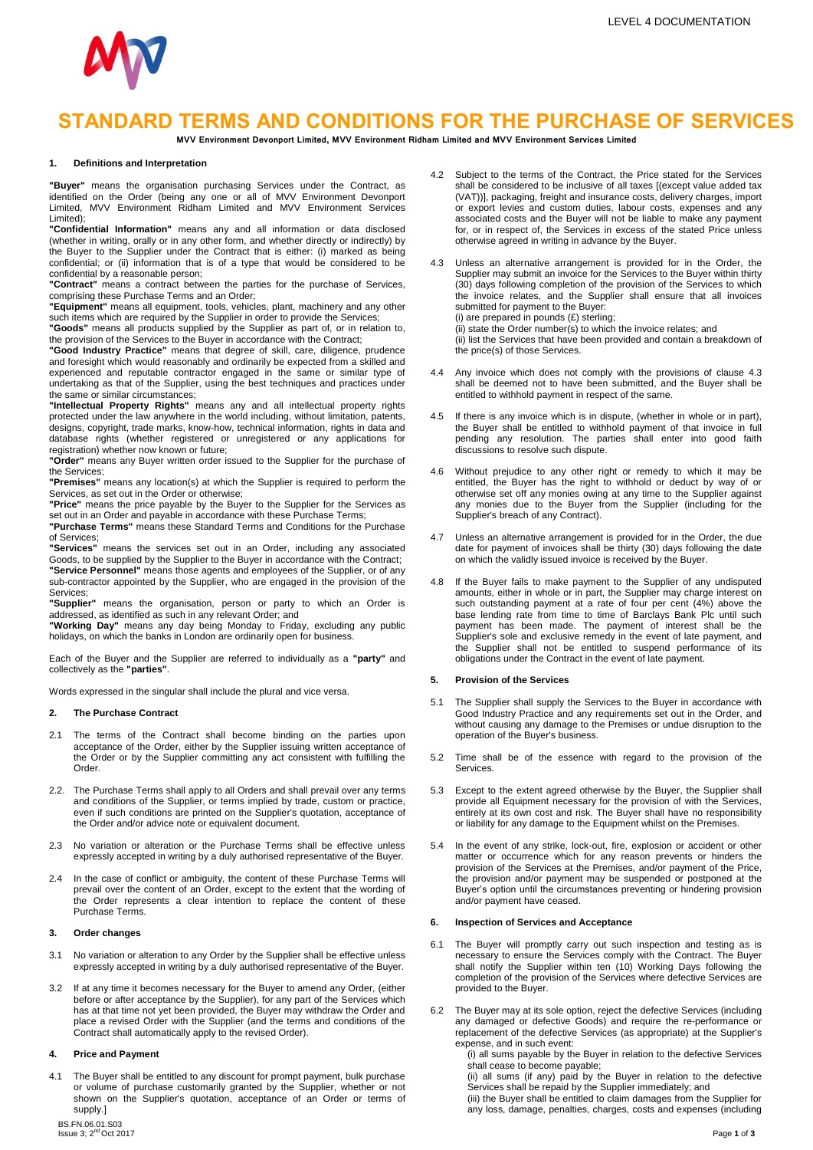

# **STANDARD TERMS AND CONDITIONS FOR THE PURCHASE OF SERVICES**

**MVV Environment Devonport Limited, MVV Environment Ridham Limited and MVV Environment Services Limited**

#### **1. Definitions and Interpretation**

**"Buyer"** means the organisation purchasing Services under the Contract, as identified on the Order (being any one or all of MVV Environment Devonport Limited, MVV Environment Ridham Limited and MVV Environment Services Limited);

**"Confidential Information"** means any and all information or data disclosed (whether in writing, orally or in any other form, and whether directly or indirectly) by the Buyer to the Supplier under the Contract that is either: (i) marked as being confidential; or (ii) information that is of a type that would be considered to be

confidential by a reasonable person; **"Contract"** means a contract between the parties for the purchase of Services, comprising these Purchase Terms and an Order;

**"Equipment"** means all equipment, tools, vehicles, plant, machinery and any other such items which are required by the Supplier in order to provide the Services; **"Goods"** means all products supplied by the Supplier as part of, or in relation to,

the provision of the Services to the Buyer in accordance with the Contract; **"Good Industry Practice"** means that degree of skill, care, diligence, prudence

and foresight which would reasonably and ordinarily be expected from a skilled and experienced and reputable contractor engaged in the same or similar type of undertaking as that of the Supplier, using the best techniques and practices under

the same or similar circumstances; **"Intellectual Property Rights"** means any and all intellectual property rights protected under the law anywhere in the world including, without limitation, patents, designs, copyright, trade marks, know-how, technical information, rights in data and database rights (whether registered or unregistered or any applications for registration) whether now known or future;

**"Order"** means any Buyer written order issued to the Supplier for the purchase of the Services;

**"Premises"** means any location(s) at which the Supplier is required to perform the Services, as set out in the Order or otherwise;

**"Price"** means the price payable by the Buyer to the Supplier for the Services as set out in an Order and payable in accordance with these Purchase Terms; **"Purchase Terms"** means these Standard Terms and Conditions for the Purchase

of Services;

**"Services"** means the services set out in an Order, including any associated Goods, to be supplied by the Supplier to the Buyer in accordance with the Contract; **"Service Personnel"** means those agents and employees of the Supplier, or of any sub-contractor appointed by the Supplier, who are engaged in the provision of the Services;

**"Supplier"** means the organisation, person or party to which an Order is

addressed, as identified as such in any relevant Order; and **"Working Day"** means any day being Monday to Friday, excluding any public holidays, on which the banks in London are ordinarily open for business.

Each of the Buyer and the Supplier are referred to individually as a **"party"** and collectively as the **"parties"**.

Words expressed in the singular shall include the plural and vice versa.

#### **2. The Purchase Contract**

- 2.1 The terms of the Contract shall become binding on the parties upon acceptance of the Order, either by the Supplier issuing written acceptance of the Order or by the Supplier committing any act consistent with fulfilling the Order.
- 2.2. The Purchase Terms shall apply to all Orders and shall prevail over any terms and conditions of the Supplier, or terms implied by trade, custom or practice, even if such conditions are printed on the Supplier's quotation, acceptance of the Order and/or advice note or equivalent document.
- 2.3 No variation or alteration or the Purchase Terms shall be effective unless expressly accepted in writing by a duly authorised representative of the Buyer.
- 2.4 In the case of conflict or ambiguity, the content of these Purchase Terms will prevail over the content of an Order, except to the extent that the wording of the Order represents a clear intention to replace the content of these Purchase Terms.

#### **3. Order changes**

- 3.1 No variation or alteration to any Order by the Supplier shall be effective unless expressly accepted in writing by a duly authorised representative of the Buyer.
- 3.2 If at any time it becomes necessary for the Buyer to amend any Order, (either before or after acceptance by the Supplier), for any part of the Services which has at that time not yet been provided, the Buyer may withdraw the Order and place a revised Order with the Supplier (and the terms and conditions of the Contract shall automatically apply to the revised Order).

## **4. Price and Payment**

4.1 The Buyer shall be entitled to any discount for prompt payment, bulk purchase or volume of purchase customarily granted by the Supplier, whether or not shown on the Supplier's quotation, acceptance of an Order or terms of supply.]

BS.FN.06.01.S03<br>Issue 3; 2<sup>nd</sup> Oct 2

or export levies and custom duties, labour costs, expenses and any associated costs and the Buyer will not be liable to make any payment for, or in respect of, the Services in excess of the stated Price unless otherwise agreed in writing in advance by the Buyer. 4.3 Unless an alternative arrangement is provided for in the Order, the

Supplier may submit an invoice for the Services to the Buyer within thirty (30) days following completion of the provision of the Services to which the invoice relates, and the Supplier shall ensure that all invoices submitted for payment to the Buyer: (i) are prepared in pounds (£) sterling;

4.2 Subject to the terms of the Contract, the Price stated for the Services shall be considered to be inclusive of all taxes [(except value added tax (VAT))], packaging, freight and insurance costs, delivery charges, import

(ii) state the Order number(s) to which the invoice relates; and (ii) list the Services that have been provided and contain a breakdown of the price(s) of those Services.

- Any invoice which does not comply with the provisions of clause 4.3 shall be deemed not to have been submitted, and the Buyer shall be entitled to withhold payment in respect of the same.
- 4.5 If there is any invoice which is in dispute, (whether in whole or in part), the Buyer shall be entitled to withhold payment of that invoice in full pending any resolution. The parties shall enter into good faith discussions to resolve such dispute.
- 4.6 Without prejudice to any other right or remedy to which it may be entitled, the Buyer has the right to withhold or deduct by way of or otherwise set off any monies owing at any time to the Supplier against any monies due to the Buyer from the Supplier (including for the Supplier's breach of any Contract).
- 4.7 Unless an alternative arrangement is provided for in the Order, the due date for payment of invoices shall be thirty (30) days following the date on which the validly issued invoice is received by the Buyer.
- If the Buyer fails to make payment to the Supplier of any undisputed amounts, either in whole or in part, the Supplier may charge interest on such outstanding payment at a rate of four per cent (4%) above the base lending rate from time to time of Barclays Bank Plc until such payment has been made. The payment of interest shall be the Supplier's sole and exclusive remedy in the event of late payment, and the Supplier shall not be entitled to suspend performance of its obligations under the Contract in the event of late payment.

#### **5. Provision of the Services**

- 5.1 The Supplier shall supply the Services to the Buyer in accordance with Good Industry Practice and any requirements set out in the Order, and without causing any damage to the Premises or undue disruption to the operation of the Buyer's business.
- 5.2 Time shall be of the essence with regard to the provision of the Services.
- 5.3 Except to the extent agreed otherwise by the Buyer, the Supplier shall provide all Equipment necessary for the provision of with the Services, entirely at its own cost and risk. The Buyer shall have no responsibility or liability for any damage to the Equipment whilst on the Premises.
- 5.4 In the event of any strike, lock-out, fire, explosion or accident or other matter or occurrence which for any reason prevents or hinders the provision of the Services at the Premises, and/or payment of the Price, the provision and/or payment may be suspended or postponed at the Buyer's option until the circumstances preventing or hindering provision and/or payment have ceased.

#### **6. Inspection of Services and Acceptance**

- 6.1 The Buyer will promptly carry out such inspection and testing as is necessary to ensure the Services comply with the Contract. The Buyer shall notify the Supplier within ten (10) Working Days following the completion of the provision of the Services where defective Services are provided to the Buyer.
- 6.2 The Buyer may at its sole option, reject the defective Services (including any damaged or defective Goods) and require the re-performance or replacement of the defective Services (as appropriate) at the Supplier's expense, and in such event:

(i) all sums payable by the Buyer in relation to the defective Services shall cease to become payable;

(ii) all sums (if any) paid by the Buyer in relation to the defective Services shall be repaid by the Supplier immediately; and

(iii) the Buyer shall be entitled to claim damages from the Supplier for any loss, damage, penalties, charges, costs and expenses (including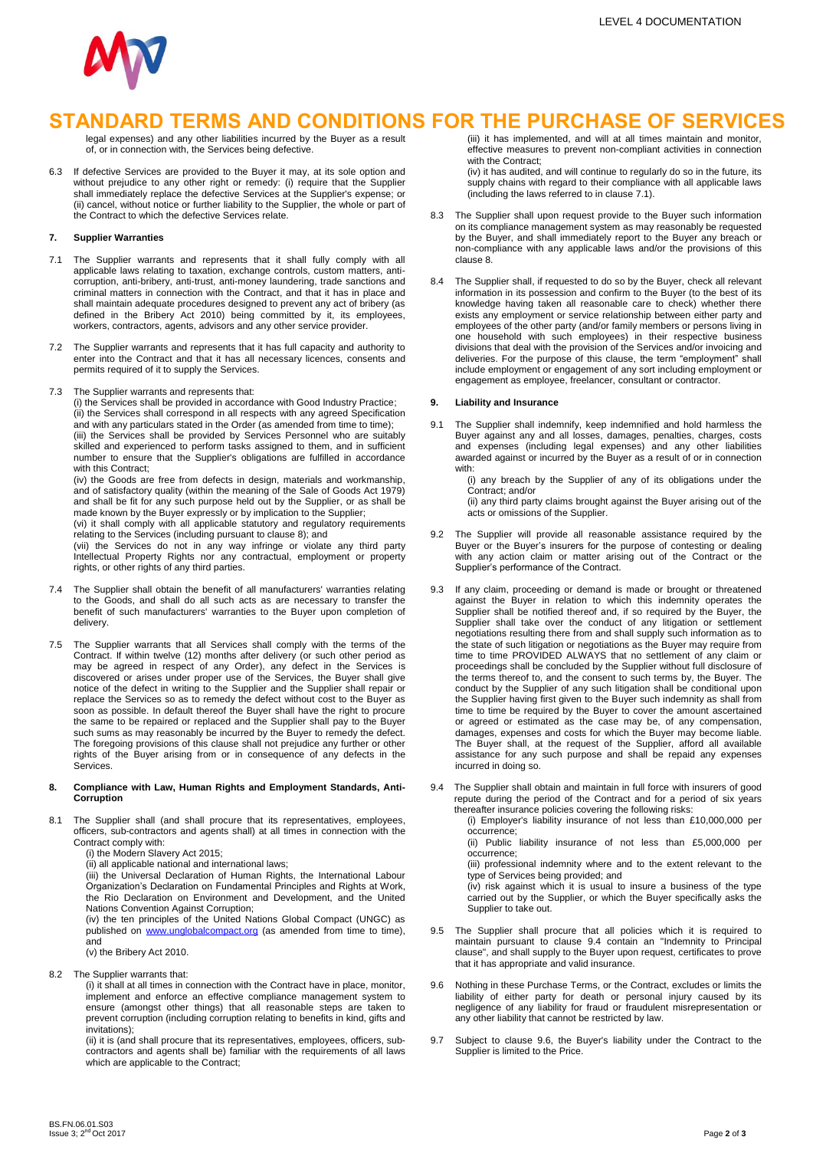

# **STANDARD TERMS AND CONDITIONS FOR THE PURCHASE OF SERVICES**

legal expenses) and any other liabilities incurred by the Buyer as a result of, or in connection with, the Services being defective.

6.3 If defective Services are provided to the Buyer it may, at its sole option and without prejudice to any other right or remedy: (i) require that the Supplier shall immediately replace the defective Services at the Supplier's expense; or (ii) cancel, without notice or further liability to the Supplier, the whole or part of the Contract to which the defective Services relate.

#### **7. Supplier Warranties**

- 7.1 The Supplier warrants and represents that it shall fully comply with all applicable laws relating to taxation, exchange controls, custom matters, anticorruption, anti-bribery, anti-trust, anti-money laundering, trade sanctions and criminal matters in connection with the Contract, and that it has in place and shall maintain adequate procedures designed to prevent any act of bribery (as defined in the Bribery Act 2010) being committed by it, its employees, workers, contractors, agents, advisors and any other service provider.
- 7.2 The Supplier warrants and represents that it has full capacity and authority to enter into the Contract and that it has all necessary licences, consents and permits required of it to supply the Services.
- 7.3 The Supplier warrants and represents that:

(i) the Services shall be provided in accordance with Good Industry Practice; (ii) the Services shall correspond in all respects with any agreed Specification and with any particulars stated in the Order (as amended from time to time); (iii) the Services shall be provided by Services Personnel who are suitably skilled and experienced to perform tasks assigned to them, and in sufficient number to ensure that the Supplier's obligations are fulfilled in accordance with this Contract:

(iv) the Goods are free from defects in design, materials and workmanship, and of satisfactory quality (within the meaning of the Sale of Goods Act 1979) and shall be fit for any such purpose held out by the Supplier, or as shall be made known by the Buyer expressly or by implication to the Supplier;

(vi) it shall comply with all applicable statutory and regulatory requirements relating to the Services (including pursuant to clause 8); and

(vii) the Services do not in any way infringe or violate any third party Intellectual Property Rights nor any contractual, employment or property rights, or other rights of any third parties.

- 7.4 The Supplier shall obtain the benefit of all manufacturers' warranties relating to the Goods, and shall do all such acts as are necessary to transfer the benefit of such manufacturers' warranties to the Buyer upon completion of delivery.
- 7.5 The Supplier warrants that all Services shall comply with the terms of the Contract. If within twelve (12) months after delivery (or such other period as may be agreed in respect of any Order), any defect in the Services is discovered or arises under proper use of the Services, the Buyer shall give notice of the defect in writing to the Supplier and the Supplier shall repair or replace the Services so as to remedy the defect without cost to the Buyer as soon as possible. In default thereof the Buyer shall have the right to procure the same to be repaired or replaced and the Supplier shall pay to the Buyer such sums as may reasonably be incurred by the Buyer to remedy the defect. The foregoing provisions of this clause shall not prejudice any further or other rights of the Buyer arising from or in consequence of any defects in the **Services**

#### **8. Compliance with Law, Human Rights and Employment Standards, Anti-Corruption**

8.1 The Supplier shall (and shall procure that its representatives, employees, officers, sub-contractors and agents shall) at all times in connection with the Contract comply with:

(i) the Modern Slavery Act 2015;

(ii) all applicable national and international laws;

(iii) the Universal Declaration of Human Rights, the International Labour Organization's Declaration on Fundamental Principles and Rights at Work, the Rio Declaration on Environment and Development, and the United Nations Convention Against Corruption; (iv) the ten principles of the United Nations Global Compact (UNGC) as

published on [www.unglobalcompact.org](http://www.unglobalcompact.org/) (as amended from time to time), and (v) the Bribery Act 2010.

8.2 The Supplier warrants that:

(i) it shall at all times in connection with the Contract have in place, monitor, implement and enforce an effective compliance management system to ensure (amongst other things) that all reasonable steps are taken to prevent corruption (including corruption relating to benefits in kind, gifts and invitations);

(ii) it is (and shall procure that its representatives, employees, officers, subcontractors and agents shall be) familiar with the requirements of all laws which are applicable to the Contract;

(iii) it has implemented, and will at all times maintain and monitor, effective measures to prevent non-compliant activities in connection with the Contract:

(iv) it has audited, and will continue to regularly do so in the future, its supply chains with regard to their compliance with all applicable laws (including the laws referred to in clause 7.1).

- 8.3 The Supplier shall upon request provide to the Buyer such information on its compliance management system as may reasonably be requested by the Buyer, and shall immediately report to the Buyer any breach or non-compliance with any applicable laws and/or the provisions of this clause 8.
- 8.4 The Supplier shall, if requested to do so by the Buyer, check all relevant information in its possession and confirm to the Buyer (to the best of its knowledge having taken all reasonable care to check) whether there exists any employment or service relationship between either party and employees of the other party (and/or family members or persons living in one household with such employees) in their respective business divisions that deal with the provision of the Services and/or invoicing and deliveries. For the purpose of this clause, the term "employment" shall include employment or engagement of any sort including employment or engagement as employee, freelancer, consultant or contractor.

#### **9. Liability and Insurance**

9.1 The Supplier shall indemnify, keep indemnified and hold harmless the Buyer against any and all losses, damages, penalties, charges, costs and expenses (including legal expenses) and any other liabilities awarded against or incurred by the Buyer as a result of or in connection with:

(i) any breach by the Supplier of any of its obligations under the Contract; and/or

(ii) any third party claims brought against the Buyer arising out of the acts or omissions of the Supplier.

- 9.2 The Supplier will provide all reasonable assistance required by the Buyer or the Buyer's insurers for the purpose of contesting or dealing with any action claim or matter arising out of the Contract or the Supplier's performance of the Contract.
- 9.3 If any claim, proceeding or demand is made or brought or threatened against the Buyer in relation to which this indemnity operates the Supplier shall be notified thereof and, if so required by the Buyer, the Supplier shall take over the conduct of any litigation or settlement negotiations resulting there from and shall supply such information as to the state of such litigation or negotiations as the Buyer may require from time to time PROVIDED ALWAYS that no settlement of any claim or proceedings shall be concluded by the Supplier without full disclosure of the terms thereof to, and the consent to such terms by, the Buyer. The conduct by the Supplier of any such litigation shall be conditional upon the Supplier having first given to the Buyer such indemnity as shall from time to time be required by the Buyer to cover the amount ascertained or agreed or estimated as the case may be, of any compensation, damages, expenses and costs for which the Buyer may become liable. The Buyer shall, at the request of the Supplier, afford all available assistance for any such purpose and shall be repaid any expenses incurred in doing so.
- 9.4 The Supplier shall obtain and maintain in full force with insurers of good repute during the period of the Contract and for a period of six years thereafter insurance policies covering the following risks:

(i) Employer's liability insurance of not less than £10,000,000 per occurrence;

(ii) Public liability insurance of not less than £5,000,000 per occurrence;

(iii) professional indemnity where and to the extent relevant to the type of Services being provided; and

(iv) risk against which it is usual to insure a business of the type carried out by the Supplier, or which the Buyer specifically asks the Supplier to take out.

- 9.5 The Supplier shall procure that all policies which it is required to maintain pursuant to clause 9.4 contain an "Indemnity to Principal clause", and shall supply to the Buyer upon request, certificates to prove that it has appropriate and valid insurance.
- 9.6 Nothing in these Purchase Terms, or the Contract, excludes or limits the liability of either party for death or personal injury caused by its negligence of any liability for fraud or fraudulent misrepresentation or any other liability that cannot be restricted by law.
- 9.7 Subject to clause 9.6, the Buyer's liability under the Contract to the Supplier is limited to the Price.